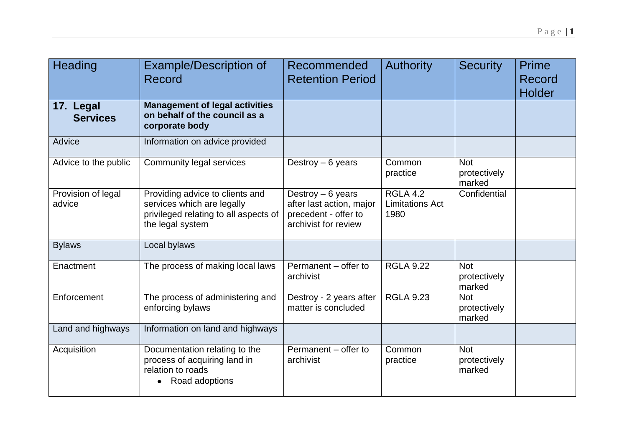| Heading                      | <b>Example/Description of</b><br>Record                                                                                    | Recommended<br><b>Retention Period</b>                                                         | <b>Authority</b>                                  | <b>Security</b>                      | Prime<br>Record<br><b>Holder</b> |
|------------------------------|----------------------------------------------------------------------------------------------------------------------------|------------------------------------------------------------------------------------------------|---------------------------------------------------|--------------------------------------|----------------------------------|
| 17. Legal<br><b>Services</b> | <b>Management of legal activities</b><br>on behalf of the council as a<br>corporate body                                   |                                                                                                |                                                   |                                      |                                  |
| Advice                       | Information on advice provided                                                                                             |                                                                                                |                                                   |                                      |                                  |
| Advice to the public         | <b>Community legal services</b>                                                                                            | Destroy $-6$ years                                                                             | Common<br>practice                                | <b>Not</b><br>protectively<br>marked |                                  |
| Provision of legal<br>advice | Providing advice to clients and<br>services which are legally<br>privileged relating to all aspects of<br>the legal system | Destroy $-6$ years<br>after last action, major<br>precedent - offer to<br>archivist for review | <b>RGLA 4.2</b><br><b>Limitations Act</b><br>1980 | Confidential                         |                                  |
| <b>Bylaws</b>                | Local bylaws                                                                                                               |                                                                                                |                                                   |                                      |                                  |
| Enactment                    | The process of making local laws                                                                                           | Permanent - offer to<br>archivist                                                              | <b>RGLA 9.22</b>                                  | <b>Not</b><br>protectively<br>marked |                                  |
| Enforcement                  | The process of administering and<br>enforcing bylaws                                                                       | Destroy - 2 years after<br>matter is concluded                                                 | <b>RGLA 9.23</b>                                  | <b>Not</b><br>protectively<br>marked |                                  |
| Land and highways            | Information on land and highways                                                                                           |                                                                                                |                                                   |                                      |                                  |
| Acquisition                  | Documentation relating to the<br>process of acquiring land in<br>relation to roads<br>Road adoptions                       | Permanent - offer to<br>archivist                                                              | Common<br>practice                                | <b>Not</b><br>protectively<br>marked |                                  |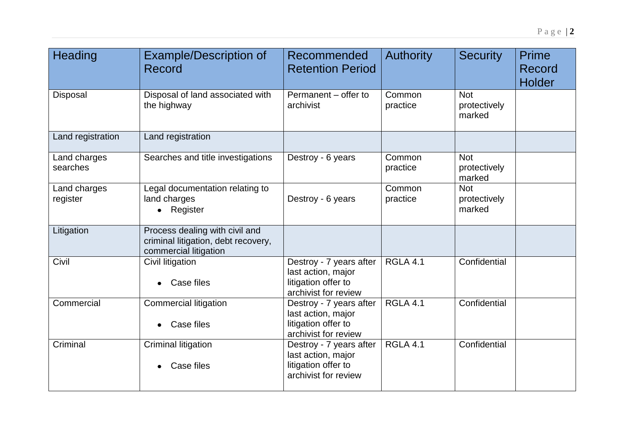| Heading                  | <b>Example/Description of</b><br>Record                                                        | Recommended<br><b>Retention Period</b>                                                       | <b>Authority</b>   | <b>Security</b>                      | Prime<br>Record<br><b>Holder</b> |
|--------------------------|------------------------------------------------------------------------------------------------|----------------------------------------------------------------------------------------------|--------------------|--------------------------------------|----------------------------------|
| Disposal                 | Disposal of land associated with<br>the highway                                                | Permanent - offer to<br>archivist                                                            | Common<br>practice | <b>Not</b><br>protectively<br>marked |                                  |
| Land registration        | Land registration                                                                              |                                                                                              |                    |                                      |                                  |
| Land charges<br>searches | Searches and title investigations                                                              | Destroy - 6 years                                                                            | Common<br>practice | <b>Not</b><br>protectively<br>marked |                                  |
| Land charges<br>register | Legal documentation relating to<br>land charges<br>Register<br>$\bullet$                       | Destroy - 6 years                                                                            | Common<br>practice | <b>Not</b><br>protectively<br>marked |                                  |
| Litigation               | Process dealing with civil and<br>criminal litigation, debt recovery,<br>commercial litigation |                                                                                              |                    |                                      |                                  |
| Civil                    | Civil litigation<br>Case files                                                                 | Destroy - 7 years after<br>last action, major<br>litigation offer to<br>archivist for review | <b>RGLA 4.1</b>    | Confidential                         |                                  |
| Commercial               | <b>Commercial litigation</b><br>Case files                                                     | Destroy - 7 years after<br>last action, major<br>litigation offer to<br>archivist for review | <b>RGLA 4.1</b>    | Confidential                         |                                  |
| Criminal                 | Criminal litigation<br>Case files                                                              | Destroy - 7 years after<br>last action, major<br>litigation offer to<br>archivist for review | <b>RGLA 4.1</b>    | Confidential                         |                                  |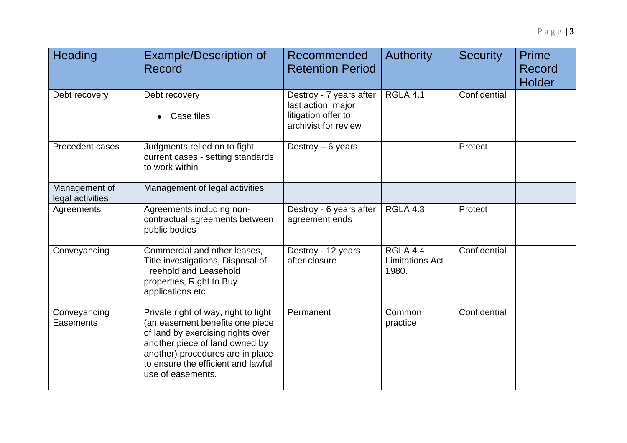| <b>Heading</b>                    | <b>Example/Description of</b><br>Record                                                                                                                                                                                                       | Recommended<br><b>Retention Period</b>                                                       | <b>Authority</b>                                   | <b>Security</b> | Prime<br>Record<br><b>Holder</b> |
|-----------------------------------|-----------------------------------------------------------------------------------------------------------------------------------------------------------------------------------------------------------------------------------------------|----------------------------------------------------------------------------------------------|----------------------------------------------------|-----------------|----------------------------------|
| Debt recovery                     | Debt recovery<br>Case files                                                                                                                                                                                                                   | Destroy - 7 years after<br>last action, major<br>litigation offer to<br>archivist for review | <b>RGLA 4.1</b>                                    | Confidential    |                                  |
| Precedent cases                   | Judgments relied on to fight<br>current cases - setting standards<br>to work within                                                                                                                                                           | Destroy $-6$ years                                                                           |                                                    | Protect         |                                  |
| Management of<br>legal activities | Management of legal activities                                                                                                                                                                                                                |                                                                                              |                                                    |                 |                                  |
| Agreements                        | Agreements including non-<br>contractual agreements between<br>public bodies                                                                                                                                                                  | Destroy - 6 years after<br>agreement ends                                                    | <b>RGLA 4.3</b>                                    | Protect         |                                  |
| Conveyancing                      | Commercial and other leases,<br>Title investigations, Disposal of<br>Freehold and Leasehold<br>properties, Right to Buy<br>applications etc                                                                                                   | Destroy - 12 years<br>after closure                                                          | <b>RGLA 4.4</b><br><b>Limitations Act</b><br>1980. | Confidential    |                                  |
| Conveyancing<br>Easements         | Private right of way, right to light<br>(an easement benefits one piece<br>of land by exercising rights over<br>another piece of land owned by<br>another) procedures are in place<br>to ensure the efficient and lawful<br>use of easements. | Permanent                                                                                    | Common<br>practice                                 | Confidential    |                                  |